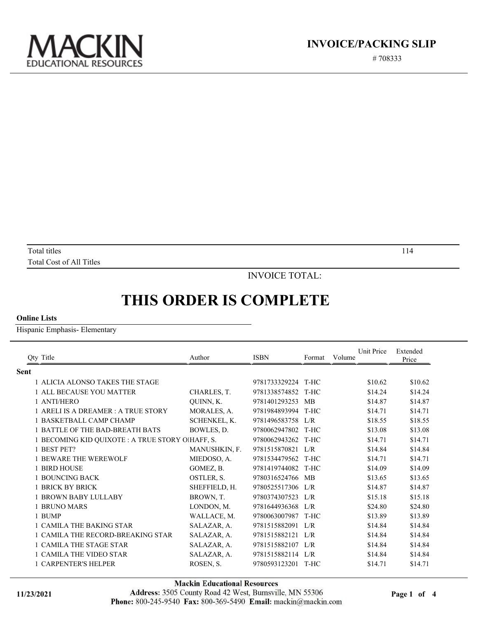

# 708333

Total titles and the set of the set of the set of the set of the set of the set of the set of the set of the set of the set of the set of the set of the set of the set of the set of the set of the set of the set of the set Total Cost of All Titles

INVOICE TOTAL:

## **THIS ORDER IS COMPLETE**

#### **Online Lists**

Hispanic Emphasis- Elementary

| <b>Qty Title</b>                                 | Author              | <b>ISBN</b>   | Format    | Unit Price<br>Volume | Extended<br>Price |
|--------------------------------------------------|---------------------|---------------|-----------|----------------------|-------------------|
| <b>Sent</b>                                      |                     |               |           |                      |                   |
| 1 ALICIA ALONSO TAKES THE STAGE                  |                     | 9781733329224 | T-HC      | \$10.62              | \$10.62           |
| 1 ALL BECAUSE YOU MATTER                         | CHARLES, T.         | 9781338574852 | T-HC      | \$14.24              | \$14.24           |
| 1 ANTI/HERO                                      | QUINN, K.           | 9781401293253 | <b>MB</b> | \$14.87              | \$14.87           |
| 1 ARELI IS A DREAMER : A TRUE STORY              | MORALES, A.         | 9781984893994 | T-HC      | \$14.71              | \$14.71           |
| 1 BASKETBALL CAMP CHAMP                          | <b>SCHENKEL, K.</b> | 9781496583758 | L/R       | \$18.55              | \$18.55           |
| 1 BATTLE OF THE BAD-BREATH BATS                  | BOWLES, D.          | 9780062947802 | T-HC      | \$13.08              | \$13.08           |
| 1 BECOMING KID QUIXOTE : A TRUE STORY O!HAFF, S. |                     | 9780062943262 | T-HC      | \$14.71              | \$14.71           |
| 1 BEST PET?                                      | MANUSHKIN, F.       | 9781515870821 | L/R       | \$14.84              | \$14.84           |
| 1 BEWARE THE WEREWOLF                            | MIEDOSO, A.         | 9781534479562 | T-HC      | \$14.71              | \$14.71           |
| 1 BIRD HOUSE                                     | GOMEZ, B.           | 9781419744082 | T-HC      | \$14.09              | \$14.09           |
| 1 BOUNCING BACK                                  | OSTLER, S.          | 9780316524766 | MB        | \$13.65              | \$13.65           |
| 1 BRICK BY BRICK                                 | SHEFFIELD, H.       | 9780525517306 | L/R       | \$14.87              | \$14.87           |
| <b>1 BROWN BABY LULLABY</b>                      | BROWN, T.           | 9780374307523 | L/R       | \$15.18              | \$15.18           |
| <b>1 BRUNO MARS</b>                              | LONDON, M.          | 9781644936368 | L/R       | \$24.80              | \$24.80           |
| 1 BUMP                                           | WALLACE, M.         | 9780063007987 | T-HC      | \$13.89              | \$13.89           |
| 1 CAMILA THE BAKING STAR                         | SALAZAR, A.         | 9781515882091 | L/R       | \$14.84              | \$14.84           |
| 1 CAMILA THE RECORD-BREAKING STAR                | SALAZAR, A.         | 9781515882121 | L/R       | \$14.84              | \$14.84           |
| 1 CAMILA THE STAGE STAR                          | SALAZAR, A.         | 9781515882107 | L/R       | \$14.84              | \$14.84           |
| 1 CAMILA THE VIDEO STAR                          | SALAZAR, A.         | 9781515882114 | L/R       | \$14.84              | \$14.84           |
| 1 CARPENTER'S HELPER                             | ROSEN, S.           | 9780593123201 | T-HC      | \$14.71              | \$14.71           |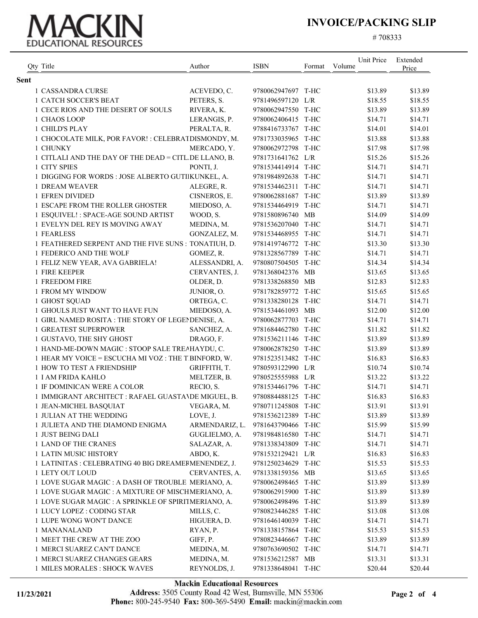# EDUCATIONAL RESOURCES

### **INVOICE/PACKING SLIP**

# 708333

|      | Qty Title                                             | Author         | <b>ISBN</b>        | Format | Unit Price<br>Volume | Extended<br>Price |
|------|-------------------------------------------------------|----------------|--------------------|--------|----------------------|-------------------|
| Sent |                                                       |                |                    |        |                      |                   |
|      | 1 CASSANDRA CURSE                                     | ACEVEDO, C.    | 9780062947697 T-HC |        | \$13.89              | \$13.89           |
|      | <b>1 CATCH SOCCER'S BEAT</b>                          | PETERS, S.     | 9781496597120 L/R  |        | \$18.55              | \$18.55           |
|      | 1 CECE RIOS AND THE DESERT OF SOULS                   | RIVERA, K.     | 9780062947550 T-HC |        | \$13.89              | \$13.89           |
|      | 1 CHAOS LOOP                                          | LERANGIS, P.   | 9780062406415 T-HC |        | \$14.71              | \$14.71           |
|      | 1 CHILD'S PLAY                                        | PERALTA, R.    | 9788416733767 T-HC |        | \$14.01              | \$14.01           |
|      | 1 CHOCOLATE MILK, POR FAVOR! : CELEBRATDISMONDY, M.   |                | 9781733035965 T-HC |        | \$13.88              | \$13.88           |
|      | 1 CHUNKY                                              | MERCADO, Y.    | 9780062972798 T-HC |        | \$17.98              | \$17.98           |
|      | 1 CITLALI AND THE DAY OF THE DEAD = CITL DE LLANO, B. |                | 9781731641762 L/R  |        | \$15.26              | \$15.26           |
|      | 1 CITY SPIES                                          | PONTI, J.      | 9781534414914 T-HC |        | \$14.71              | \$14.71           |
|      | 1 DIGGING FOR WORDS : JOSE ALBERTO GUTIIKUNKEL, A.    |                | 9781984892638 T-HC |        | \$14.71              | \$14.71           |
|      | <b>1 DREAM WEAVER</b>                                 | ALEGRE, R.     | 9781534462311 T-HC |        | \$14.71              | \$14.71           |
|      | 1 EFREN DIVIDED                                       | CISNEROS, E.   | 9780062881687 T-HC |        | \$13.89              | \$13.89           |
|      | 1 ESCAPE FROM THE ROLLER GHOSTER                      | MIEDOSO, A.    | 9781534464919 T-HC |        | \$14.71              | \$14.71           |
|      | 1 ESQUIVEL! : SPACE-AGE SOUND ARTIST                  | WOOD, S.       | 9781580896740 MB   |        | \$14.09              | \$14.09           |
|      | 1 EVELYN DEL REY IS MOVING AWAY                       | MEDINA, M.     | 9781536207040 T-HC |        | \$14.71              | \$14.71           |
|      | 1 FEARLESS                                            | GONZALEZ, M.   | 9781534468955 T-HC |        | \$14.71              | \$14.71           |
|      | 1 FEATHERED SERPENT AND THE FIVE SUNS : TONATIUH, D.  |                | 9781419746772 T-HC |        | \$13.30              | \$13.30           |
|      | 1 FEDERICO AND THE WOLF                               | GOMEZ, R.      | 9781328567789 T-HC |        | \$14.71              | \$14.71           |
|      | 1 FELIZ NEW YEAR, AVA GABRIELA!                       | ALESSANDRI, A. | 9780807504505 T-HC |        | \$14.34              | \$14.34           |
|      | 1 FIRE KEEPER                                         | CERVANTES, J.  | 9781368042376 MB   |        | \$13.65              | \$13.65           |
|      | 1 FREEDOM FIRE                                        | OLDER, D.      | 9781338268850 MB   |        | \$12.83              | \$12.83           |
|      | 1 FROM MY WINDOW                                      | JUNIOR, O.     | 9781782859772 T-HC |        | \$15.65              | \$15.65           |
|      | 1 GHOST SQUAD                                         |                | 9781338280128 T-HC |        |                      |                   |
|      |                                                       | ORTEGA, C.     | 9781534461093 MB   |        | \$14.71              | \$14.71           |
|      | 1 GHOULS JUST WANT TO HAVE FUN                        | MIEDOSO, A.    | 9780062877703 T-HC |        | \$12.00              | \$12.00           |
|      | 1 GIRL NAMED ROSITA : THE STORY OF LEGENDENISE, A.    |                |                    |        | \$14.71              | \$14.71           |
|      | 1 GREATEST SUPERPOWER                                 | SANCHEZ, A.    | 9781684462780 T-HC |        | \$11.82              | \$11.82           |
|      | 1 GUSTAVO, THE SHY GHOST                              | DRAGO, F.      | 9781536211146 T-HC |        | \$13.89              | \$13.89           |
|      | 1 HAND-ME-DOWN MAGIC : STOOP SALE TREAHAYDU, C.       |                | 9780062878250 T-HC |        | \$13.89              | \$13.89           |
|      | 1 HEAR MY VOICE = ESCUCHA MI VOZ : THE T BINFORD, W.  |                | 9781523513482 T-HC |        | \$16.83              | \$16.83           |
|      | 1 HOW TO TEST A FRIENDSHIP                            | GRIFFITH, T.   | 9780593122990 L/R  |        | \$10.74              | \$10.74           |
|      | 1 I AM FRIDA KAHLO                                    | MELTZER, B.    | 9780525555988 L/R  |        | \$13.22              | \$13.22           |
|      | 1 IF DOMINICAN WERE A COLOR                           | RECIO, S.      | 9781534461796 T-HC |        | \$14.71              | \$14.71           |
|      | 1 IMMIGRANT ARCHITECT : RAFAEL GUASTAVDE MIGUEL, B.   |                | 9780884488125 T-HC |        | \$16.83              | \$16.83           |
|      | 1 JEAN-MICHEL BASQUIAT                                | VEGARA, M.     | 9780711245808 T-HC |        | \$13.91              | \$13.91           |
|      | 1 JULIAN AT THE WEDDING                               | LOVE, J.       | 9781536212389 T-HC |        | \$13.89              | \$13.89           |
|      | 1 JULIETA AND THE DIAMOND ENIGMA                      | ARMENDARIZ, L. | 9781643790466 T-HC |        | \$15.99              | \$15.99           |
|      | 1 JUST BEING DALI                                     | GUGLIELMO, A.  | 9781984816580 T-HC |        | \$14.71              | \$14.71           |
|      | 1 LAND OF THE CRANES                                  | SALAZAR, A.    | 9781338343809 T-HC |        | \$14.71              | \$14.71           |
|      | 1 LATIN MUSIC HISTORY                                 | ABDO, K.       | 9781532129421 L/R  |        | \$16.83              | \$16.83           |
|      | 1 LATINITAS : CELEBRATING 40 BIG DREAMEFMENENDEZ, J.  |                | 9781250234629 T-HC |        | \$15.53              | \$15.53           |
|      | 1 LETY OUT LOUD                                       | CERVANTES, A.  | 9781338159356 MB   |        | \$13.65              | \$13.65           |
|      | 1 LOVE SUGAR MAGIC : A DASH OF TROUBLE MERIANO, A.    |                | 9780062498465 T-HC |        | \$13.89              | \$13.89           |
|      | 1 LOVE SUGAR MAGIC : A MIXTURE OF MISCHMERIANO, A.    |                | 9780062915900 T-HC |        | \$13.89              | \$13.89           |
|      | 1 LOVE SUGAR MAGIC : A SPRINKLE OF SPIRITMERIANO, A.  |                | 9780062498496 T-HC |        | \$13.89              | \$13.89           |
|      | 1 LUCY LOPEZ : CODING STAR                            | MILLS, C.      | 9780823446285 T-HC |        | \$13.08              | \$13.08           |
|      | 1 LUPE WONG WON'T DANCE                               | HIGUERA, D.    | 9781646140039 T-HC |        | \$14.71              | \$14.71           |
|      | 1 MANANALAND                                          | RYAN, P.       | 9781338157864 T-HC |        | \$15.53              | \$15.53           |
|      | 1 MEET THE CREW AT THE ZOO                            | GIFF, P.       | 9780823446667 T-HC |        | \$13.89              | \$13.89           |
|      | 1 MERCI SUAREZ CAN'T DANCE                            | MEDINA, M.     | 9780763690502 T-HC |        | \$14.71              | \$14.71           |
|      | 1 MERCI SUAREZ CHANGES GEARS                          | MEDINA, M.     | 9781536212587 MB   |        | \$13.31              | \$13.31           |
|      | 1 MILES MORALES : SHOCK WAVES                         | REYNOLDS, J.   | 9781338648041 T-HC |        | \$20.44              | \$20.44           |